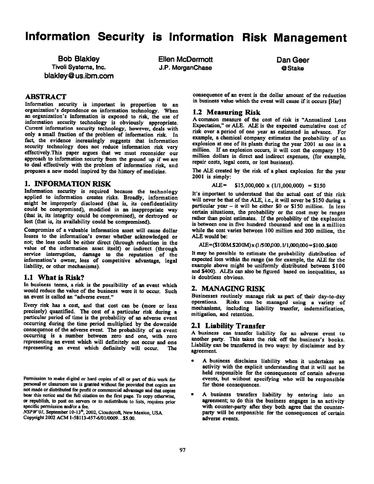# **Information Security is Information Risk Management**

Bob Blakley Tivoli Systems, **Inc. blakley** @ us, ibm.com **Ellen McDermott J.P. MorganChase** 

**Dan Geer @ Stake** 

## **ABSTRACT**

Information security is important in proportion to an organization's dependence on information technology. When an organization's information is exposed to risk, the use of information security technology is obviously appropriate. Current information security technology, however, deals with only a small fraction of the problem of information risk. In fact, the evidence increasingly suggests that information security technology does not reduce information risk very effectively.This paper argues that we must reconsider our approach to information security from the ground up if we are to deal effectively with the problem of information risk, and proposes a new model inspired by the history of medicine.

#### **1. INFORMATION RISK**

Information security is required because the technology applied to information creates risks. Broadly, information might be improperly disclosed (that is, its confidentiality could be compromised), modified in an inappropriate way (that is, its integrity could be compromised), or destroyed or lost (that is, its availability could be compromised).

Compromise of a valuable information asset will cause dollar losses to the information's owner whether acknowledged or not; the loss could be either direct (through reduction in the value of the information asset itself) or indirect (through service interruption, damage to the reputation of the information's owner, loss of competitive advantage, legal liability, or other mechanisms).

#### 1.1 What is Risk?

In business terms, a risk is the possibility of an event which would reduce the value of the business were it to occur. Such an event is called an "adverse event."

Every risk has a cost, and that cost can be (more or less precisely) quantified. The cost of a particular risk during a particular period of time is the probability of an adverse event occurring during the time period multiplied by the downside consequence of the adverse event. The probability of an event occurring is a number between zero and one, with zero representing an event which will definitely not occur and one representing an event which definitely will occur. The

Permission to make digital or hard copies of all or part of this work for personal or classroom use is granted without fee provided that copies are not made or dislributed for profit or commercial advantage and that copies bear this notice and the full citation on the first page. To copy otherwise, or republish, to post on servers or to redistribute to lists, requires prior specific permission and/or a fee.

*NSPW'01*, September 10-13<sup>th</sup>, 2002, Cloudcroft, New Mexico, USA. Copyright 2002 ACM 1-58113457-6/01/0009...\$5.00.

consequence of an event is the dollar amount of the reduction in business value which the event will cause if it occurs [Har]

#### 1.2 Measuring Risk

A common measure of the cost of risk is "Annualized Loss Expectation," or ALE. ALE is the expected cumulative cost of risk over a period of one year as estimated in advance. For example, a chemical company estimates the probability of an explosion at one of its plants during the year 2001 as one in a million. If an explosion occurs, it will cost the company 150 million dollars in direct and indirect expenses, (for example, repair costs, legal costs, or lost business).

The ALE created by the risk of a plant explosion for the year 2001 is simply:

```
ALE = $15,000,000 \times (1/1,000,000) = $150
```
It's important to understand that the actual cost of this risk will never be that of the ALE, i.e., it will never be \$150 during a particular year - it will be either \$0 or \$150 million. In *less*  certain situations, the probability or the cost may be ranges rather than point estimates. If the probability of the explosion is between one in five hundred thousand and one in a million while the cost varies between 100 million and 200 million, the ALE would be:

```
ALE=($100M$200M)x(1/500,000.1/1,000,000=$100.$400
```
It may be possible to estimate the probability distribution of expected loss within the range (so for example, the ALE for the example above might be uniformly distributed between \$100 and \$400). ALEs can also be figured based on inequalities, as is doubtless obvious.

#### **2. MANAGING RISK**

Businesses routinely manage risk as part of their day-to-day operations. Risks can be managed using a variety of mechanisms, including liability transfer, indemnification, mitigation, and retention.

#### 2.1 Liability Transfer

A business can transfer liability for an adverse event to another party. This takes the risk off the business's books. Liability can be transferred in two ways: by disclaimer and by agreement.

- A business disclaims liability when it undertakes an activity with the explicit understanding that it will not be held responsible for the consequences of certain adverse events, but without specifying who will be responsible for those consequences.
- A business transfers liability by entering into an agreement; to do this the business engages in an activity with counter-party after they both agree that the counterparty will be responsible for the consequences of certain adverse events.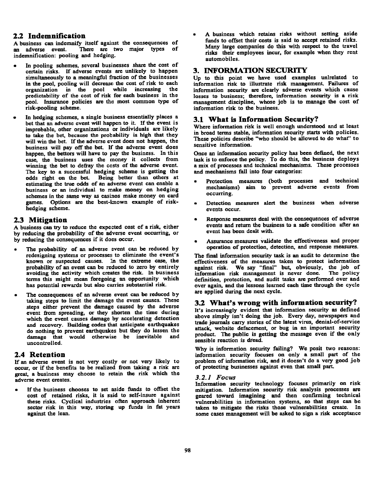## **2.2** Indemnification

A business can indemnify itself against the consequences of an adverse event. There are two major types of an adverse event. There are two major types of indemnification: pooling and hedging;.

- In pooling schemes, several businesses share the cost of certain risks. If adverse events are unlikely to happen simultaneously to a meaningful fraction of the businesses in the pool, pooling will decrease the cost of risk to each organization in the pool while increasing the predictability of the cost of risk for each business in the pool. Insurance policies are the most common type of risk-pooling scheme.
- In hedging schemes, a single business essentially places a bet that an adverse event will happen to it. If the event is improbable, other organizations or individuals are likely to take the bet, because the probability is high that they will win the bet. If the adverse event does not happen, the business will pay off the bet. If the adverse event does happen, the bettors will have to pay the business. In this case, the business uses the money it collects from winning the bet to defray the ccsts of the adverse event. The key to a successful hedging scheme is getting the odds right on the bet. Being better than others at estimating the true odds of an adverse event can enable a business or an individual to make money on hedging schemes in the same way as casinos make money on card games. Options are the best-imown example of riskhedging scheme.

#### **2.3** Mitigation

A business can try to reduce the expected cost of a risk, either by reducing the probability of the adverse event occurring, or by reducing the consequences if it does occur.

- The probability of an adverse event can be reduced by redesigning systems or processes to eliminate the event's known or suspected causes. In the extreme case, the probability of an event can be reduced to zero by entirely avoiding the activity which creates the risk. In business terms this might mean foregoing an opportunity which has potential rewards but also carries substantial risk.
- The consequences of an adverse event can be reduced by taking steps to limit the damage the event causes. These steps either prevent the damage caused by the adverse event from spreading, or they shorten the time during which the event causes damage by accelerating detection and recovery. Building codes that anticipate earthquakes do nothing to prevent earthquakes but they do lessen the damage that would otherwise be inevitable and uncontrolled.

#### **2.4** Retention

If an adverse event is not very costly or not very likely to occur, or if the benefits to be realized from taking a risk are great, a business may choose to retain the risk which the adverse event creates.

If the business chooses to set aside funds to offset the cost of retained risks, it is said to self-insure against these risks. Cyclical industries often approach inherent sector risk in this way, storing up funds in fat years against the lean.

• A business which retains risks without setting aside funds to offset their costs is said to accept retained risks. Many large companies do this with respect to the travel risks their employees incur, for example when they rent automobiles.

# 3. INFORMATION SECURITY

Up to this point we have used examples unlrelated to information risk to illustrate risk management. Failures of information security are clearly adverse events which cause losses to business: therefore, information security is a risk management discipline, whose job is to manage the cost of information risk to the business.

# **3.1 What** is Information Security?

Where information risk is well enough understood and at least in broad terms stable, information security starts with policies. These policies describe "'who should be allowed to do what" to sensitive information.

Once an information security policy has been defined, the next task is to enforce the policy. To do this, the business deploys a mix of processes and technical mechanisms. These processes and mechanisms fall into four categories:

- Protection measures (both processes and technical mechanisms) aim to prevent adverse events from occurring.
- Detection measures alert the business when adverse events occur.
- Response measures deal with the consequences of adverse events and return the business to a safe condition after an event has been dealt with.
- Assurance measures Validate the effectiveness and proper operation of protection, detection, and response measures.

The final information security task is an audit to determine the effectiveness of the measures taken to protect information against risk, We say "final" but, obviously, the job of information risk management is never done. The policy information risk management is never done. definition, protection, and audit tasks are performed over and over again, and the lessons learned each time through the cycle are applied during the next cycle.

# **3.2 What's wrong with** information security?

It's increasingly evident that information security as defined above simply isn't doing the job. Every day, newspapers and trade journals carry stories of the latest virus, denial-of-service attack, website defacement, or bug in an important security product. The public is getting the message even if the only sensible reaction is dread.

Why is information security failing? We posit two reasons: information security focuses on only a small part of the problem of information risk, and it doesn't do a very good job of protecting businesses against even that small part.

## *3.2.1 Focus*

Information security technology focuses primarily on risk mitigation. Information security risk analysis processes are geared toward imagining and then confirming technical vulnerabilities in information systems, so that steps can be taken to mitigate the risks those vulnerabilities create. In some cases management will be asked to sign a risk acceptance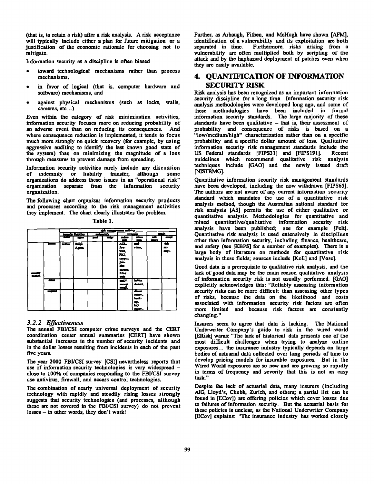(that is, to retain a risk) after a risk analysis. A risk acceptance will typically include either a plan for future mitigation or a justification of the economic rationale for choosing not to mitigate.

Information security as a discipline is often biased

- toward technological mechanisms rather than process mechanisms,
- in favor of logical (that is, computer hardware and software) mechanisms, and
- against physical mechanisms (such as locks, walls, cameras, etc...)

Even within the category of risk minimization activities, information security focuses more on reducing probability of an adverse event than on reducing its consequences. And where consequence reduction is implemented, it tends to focus much more strongly on quick recovery (for example, by using aggressive auditing to identify the last known good state of the system) than on minimizing the magnitude of a loss through measures to prevent damage from spreading.

Information security activities rarely include any discussion of indemnity or liability transfer, although some organizations do address these issues in an "operational risk" organization separate from the information security organization.

The following chart organizes information security products and processes according to the risk management activities they implement. The chart clearly illustrates the problem.

|--|

|   |       | risk management sotivity |   |                         |  |                                                                                                |                                                 |                             |                             |
|---|-------|--------------------------|---|-------------------------|--|------------------------------------------------------------------------------------------------|-------------------------------------------------|-----------------------------|-----------------------------|
|   |       | transfer liability       |   | <i><b>Indumnity</b></i> |  | mining                                                                                         |                                                 | <b><i><u>retain</u></i></b> |                             |
|   |       |                          |   |                         |  | nder i<br>麻木                                                                                   | --                                              | œ.<br><b>Income</b>         | <b>Read of</b>              |
| ≕ |       | ata .                    | 匾 |                         |  | $\overline{M}$<br>fire.<br>val,<br>PKL.<br>urypto,<br>$\frac{1}{2}$<br>across,<br>fther<br>wab | $\overline{\phantom{a}}$<br>virus,              |                             | <b>Time</b><br>444<br>cept. |
|   | ł     |                          |   |                         |  | main,<br><b>moop</b><br>الدهد                                                                  | latru.<br>detact.                               |                             |                             |
|   | نتقلب |                          |   |                         |  |                                                                                                | عسلة<br>returv.,<br>back-<br>up.<br>Lay<br>man. |                             |                             |

#### *3.2.2 Effectiveness*

The annual FBI/CSI computer crime surveys and the CERT coordination center annual summaries [CERT] have shown substantial increases in the number of security incidents and in the dollar losses resulting from incidents in each of the past five years.

The year 2000 FBI/CSI survey [CSI] nevertheless reports that use of information security technologies is very widespread close to 100% of companies responding to the FBI/CSI survey use antivirus, firewall, and access control technologies.

The combination of nearly universal deployment of security technology with rapidly and steadily rising losses strongly suggests that security technologies (and processes, although these are not covered in the FBI/CSI survey) do not prevent  $losses - in other words, they don't work!$ 

Further, as Arbaugh, Fithen, and McHugh have shown [AFM], identification of a vulnerability and its exploitation are both separated in time. Furthermore, risks arising from a Furthermore, risks arising from a vulnerability are often multiplied both by scripting of the attack and by the haphazard deployment of patches even when they are easily available.

## **4. QUANTIFICATION OF** INFORMATION SECURITY RISK

Risk analysis has been recognized as an important information security discipline for a long time. Information security risk analysis methodologies were developed long ago, and some of these methodologies have been included in formal information security standards. The large majority of these standards have been qualitative – that is, their assessment of probability and consequence of risks is based on a "low/medium/high" characterization rather than on a specific probability and a specific dollar amount of loss. Qualitative information security risk management standards include the US Federal standards [FIPS31] and [FIPS191]. Recent guidelines which recommend qualitative risk analysis techniques include [GAO] and the newly issued draft [NISTRMG].

Quantitative information security risk management standards have been developed, including the now withdrawn [FIPS65]. The authors are not aware of any current information security standard which mandates the use of a quantitative risk analysis method, though the Australian national standard for risk analysis [AS] permits the use of either qualitative or quantitative analysis. Methodologies for quantitative and mixed quentitative/qualitative information security risk analysis have been published; see for example [Pelt]. Quantitative risk analysis is used extensively in disciplines other then information security, including finance, healthcare, and safety (see [KBPS] for a number of examples). There is a large body of literature on methods for quantitative risk analysis in these fields; sources include [Koll] and [Vosc].

Good data is a prerequisite to qualitative risk analysis, and the lack of good data may be the main reason qualitative analysis of information security risk is not usually performed. [GAO] explicitly acknowledges this: "Reliably assessing information security risks can be more difficult than assessing other types of risks, because the data on the likelihood and costs associated with information security risk factors are often more limited and because risk factors are constantly changing."

Insurers seem to agree that data is lacking. The National Underwriter Company's guide to risk in the wired world [ERisk] warns: "The lack of historical data presents one of the most difficult challenges when trying to analyze online exposures.., the insurance industry typically depends on large bodies of actuarial data collected over long periods of time to develop pricing models for insurable exposures. But in the Wired World exposures arc so new and are growing so rapidly in terms of frequency and severity that this is not an easy task."

Despite the lack of actuarial data, many insurers (including AIG, Lloyd's, Chubb, Zurich, and others; a partial list can be found in [ECov]) are offering policies which cover losses due to failures of information security. But the actuarial basis for these policies is unclear, as the National Underwriter Company [ECov] explains: "The insurance industry has worked closely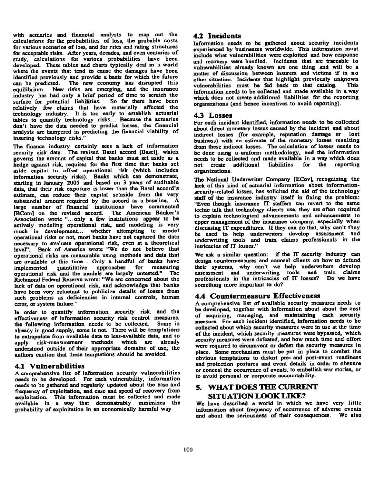with actuaries and financial analysts to map out the calculations for the probabilities of loss, the probable costs for various scenarios of loss, and for rates and rating structures for acceptable risks. After years, decades, and even centuries of study, calculations for various probabilities have been developed. These tables end charts typically deal in a world where the events that tend to cause the damages have been identified previously and provide a basis for which the future can be predicted. The new economy has disrupted this equilibrium. New risks are emerging, and the insurance industry has had only a brief period of time to scratch the surface for potential liabilities. So far there have been relatively few claims that have materially affected the technology industry. It is too early to establish actuarial tables to quantify technology risks... Because the actuaries don't have the data needed to predict losses, the financial analysts are hampered in predicting the financial viability of insuring technology risks."

The finance industry certainly sees a lack of information security risk data. The revised Basel accord [Basel], which governs the amount of capital that banks must set aside as a hedge against risk, requires for the first time that banks set aside capital to offset operational risk (which includes information security risks). Banks which can demonstrate, starting in January 2005 and based on 3 years of auditable data, that their risk exposure is lower than the Basel accord's estimate, can reduce their capital setaside from the very substantial amount required by the accord as a baseline. A large number of financial institutions have commented [BCom] on the revised accord. The American Banker's Association wrote "...only a few institutions appear to be actively modeling operational risk, and modeling is very much in development.., whether attempting to model operational risks or not, most banks have not captured the data necessary to evaluate operational risk, even at a theoretical level". Bank of America wrote "We do not believe that operational risks are measurable using methods and data that are available at this time... Only a handful of banks have<br>implemented quantitative approaches for measuring implemented quantitative approaches for measuring operational risk and the models an: largely untested." The Richmond Federal Reserve wrote: "We arc concerned about the lack of data on operational risk, and acknowledge that banks have been very reluctant to publicize details of losses from such problems as deficiencies in internal controls, human error, or system failure."

In order to quantify information security risk, and the effectiveness of information security risk control measures, the following information needs to be collected. Some is already in good supply, some is not. There will be temptations **to** extrapolate from available data to less-available data, and to apply risk-measurement methods which are already understood outside of their appropriate domains of use; the authors caution that these temptations should be avoided.

## **4.1** Vulnerabilities

A comprehensive list of information security vulnerabilities needs to be developed. For each vulnerability, information needs to be gathered and regularly updated about the ease and ficqucncy of exploitation, and ease and speed of recovery from exploitation. This information must be collected and made available in a way that demonstrably minimizes the probability of exploitation in an eccmomically harmful way

## **4.2** Incidents

Information needs to be gathered about security incidents experienced by businesses worldwide. This information must include what vulnerabilities were exploited and how response and recovery were handled. Incidents that are traceable to vulnerabilities already known are one thing and will be a matter of discussion between insurers and victims if in no other situation. Incidents that highlight previously unknown vulnerabilities must be fed back to that catalog. information needs to be collected and made available in a way which does not create additional liabilities for the reporting organizations (and hence incentives to avoid reporting).

#### **4.3** Losses

For each incident identified, information needs to be collected about direct monetary losses caused by the incident and about indirect losses (for example, reputation damage or lost business) with an estimate of the monetary losses resulting from these indirect losses. The calculation of losses needs to be done using a uniform methodology, and the information needs to be collected and made available in a way which does not create additional liabilities for the reporting organizations.

The National Underwriter Company [ECov], recognizing the lack of this kind of actuarial information about informationsecurity-related losses, has solicited the aid of the technology staff of the insurance industry itself in fixing the problem: "Even though insurance IT staffers can revert to the same techie talk that technology clients use, they are often required to explain technological advancements and enhancements to upper management of the insurance company, especially when discussing IT expenditures. If they can do that, why can't they be used to help underwriters develop assessment and underwriting tools and train claims professionals in the intricacies of IT losses."

We ask a similar question: if the IT security industry can design countermeasures and counsel clients on how to defend their systems, why can't we help underwriters develop assessment and underwriting tools and train claims professionals in the intricacies of IT losses? Do we have something more important to do7

## **4.4** Countermeasure Effectiveness

A comprehensive list of available security measures needs to be developed, together with information about about the *cost*  of acquiring, managing, and maintaining each security measure. For each incident identified, information needs to be collected about which security measures were in use at the time of the incident, which security measures were bypassed, which security measures were defeated, and how much time and effort were required to circumvent or defeat the security measures in place. Some mechanism must be put in place to combat the obvious temptations to distort pre- and post-event readiness and protection postures and event details in order to obscure or conceal the occurrence of events, to embellish war stories, or to avoid personal or corporate accountability.

# **S. WHAT DOES THE** CURRENT **SITUATION LOOK LIKE?**

We have described a world in which we have very little information about frequency of occurrence of adverse events and about the seriousness of their consequences. We also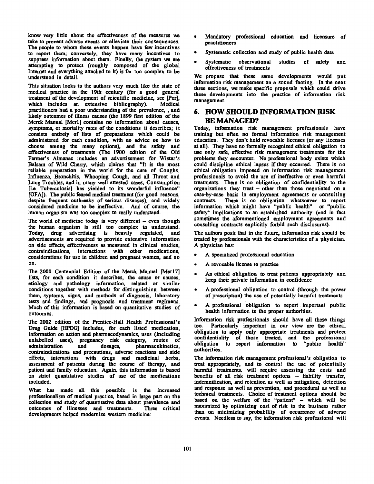know very little about the effectiveness of the measures we take to prevent adverse events or alleviate their consequences. The people to whom these events happen have few incentives to report them; conversely, they have many incentives to suppress information about them. Finally, the system we are attempting to protect (roughly composed of the global Internet and everything attached to it) is far too complex to be understood in detail.

This situation looks to the authors very much like the state of medical practice in the 19th century (for a good general treatment of the development of scientific medicine, see [Por],<br>which includes an extensive hibliography) Medical which includes an extensive bibliography). practitioners had a poor understanding of the prevalence, , and likely outcomes of illness causes (the 1899 first edition of the Merck Manual [Merl] contains no information about causes, symptoms, or mortality rates of the conditions it describes: it consists entirely of lists of preparations which could be administered for each condition, with no advice on how to choose among the many options), and the safety and effectiveness of treatments (The 1900 edition of the Old Farmer's Almanac includes an advertisement for Wistar's Balsam of Wild Cherry, which claims that "It is the most reliable preparation in the world for the cure of Coughs, Influenza, Bronchitis, Whooping Cough, and all Throat and Lung Troubles, and in many well attested cases, Consumption [i.e. Tuberculosis] has yielded to its wonderful influence" [OFA]). The public feared medical treatment (for good reasons, despite frequent outbreaks of serious diseases), and widely considered medicine to be ineffective. And of course, the human organism was too complex to really understand.

The world of medicine today is very different  $-$  even though the human organism is still too complex to understand. Today, drug advertising is heavily regulated, and advertisements are required to provide extensive information on side effects, effectiveness as measured in clinical studies, contraindications, interactions with other medications, considerations for use in children and pregnant women, and s o on.

The 2000 Centennial Edition of the Merck Manual IMer171 lists, for each condition it describes, the cause or causes, etiology and pathology information, related or similar conditions together with methods for distinguishing between them, syptoms, signs, and methods of diagnosis, laboratory tests and findings, and prognosis and treatment regimens. Much of this information is based on quantitative studies of outcomes.

The 2002 edition of the Prentice-Hall Health Professional's Drug Guide [HPDG] includes, for each listed medication, information on action and pharmacodynamics, uses (including unlabelled uses), pregnancy risk category, routes of administration and dosages, pharmacokinetics, pharmacokinetics, contraindications and precautions, adverse reactions and side effects, interactions with drugs and medicinal herbs, assessment of patients during the course of therapy, and patient and family education. Again, this information is based on strict quantitative studies of use of the medications included.

What has made all this possible is the increased professionalism of medical practice, based in large part on the collection and study of quantitative data about prevalence and outcomes of illnesses and treatments. Three critical developments helped modernize western medicine:

- Mandatory professional education and licensure of practitioners
- Systematic collection and study of public health data
- Systematic observational studies of safety and effectiveness of treatments

We propose that these same developments would put information risk management on a sound footing. In the next three sections, we make specific proposals which could drive these developments into the practice of information risk management.

# **6. HOW SHOULD INFORMATION RISK BE MANAGED?**

Today, information risk management professionals have training but often no formal information risk management education. They don't hold revocable licenses (or any licenses at all). They have no formally recognized ethical obligation to use only safe, effective risk management treatments for the problems they encounter. No professional body exists which could discipline ethical lapses if they occurred. There is no ethical obligation imposed on information risk management professionals to avoid the use of ineffective or even harmful treatments. There is no obligation of confidentiality to the organizations they treat  $-$  other than those negotiated on a case-by-case basis in employment agreements or consulting contracts. There is no obligation whatsoever to report information which might have "public health" or "public safety" implications to an established authority (and in fact sometimes the aforementioned employment agreements and consulting contracts explicitly forbid such disclosures).

The authors posit that in the future, information risk should be treated by professionals with the characteristics of a physician. A physician has:

- A specialized professional education
- A revocable license to practice
- An ethical obligation to treat patients appropriately and keep their private information in confidence
- A professional obligation to control (through the power of prescription) the use of potentially harmful treatments
- A professional obligation to report, important public health information to the proper authorities.

Information risk professionals should have all these things too. Particularly important in our view are the ethical obligation to apply only appropriate treatments and protect confidentiality of those treated, and the professional obligation to report information to "public health" authorities.

The information risk management professional's obligation to treat appropriately, and to control the use of potentially harmful treatments, will require assessing the costs and benefits of all risk treatment options  $-$  liability transfer, indemnification, and retention as well as mitigation, detection and response as well as prevention, and procedural as well as technical treatments. Choice of treatment options should be based on the welfare of the "patient" - which will be maximized by optimizing cost of risk to the business rather than on minimizing probability of occurrence of adverse events. Needless to say, the information risk professional will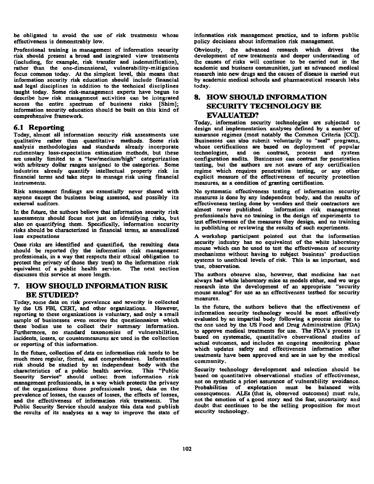be obligated to avoid the use of risk treatments whose effectiveness is demonstrably low.

Professional training in management of information security risk should present a broad and in'tegrated view treatments (including, for example, risk transfer and indemnification), rather than the one-dimensional, vulnerability-mitigation focus common today. At the simplest level, this means that information security risk education should include financial and legal disciplines in addition to the technical disciplines taught today. Some risk-management experts have begun to describe how risk management activities can be integrated across the entire spectrum of business risks [Shim]; information security education should be built on this kind of comprehensive framework.

#### **6.1** Reporting

 $Todav$ ,  $a$ *most all information security risk assessments use* qualitative rather than quantitative methods. Some risk analysis methodologies and standards already incorporate rudimentary loss-expectation estimation methods, but these are usually limited to a "low/medium/high" categorization with arbitrary dollar ranges assigned to the categories. Some industries already quantify intellectual property risk in financial terms and take steps to manage risk using financial instruments.

Risk assessment findings are essentially never shared with anyone except the business being assessed, and possibly its external auditors.

In the future, the authors believe that information *security* risk assessments should focus not just on identifying risks, but also on quantifying them. Specifically, information security risks should be characterized in Financial terms, as annualized loss expectations

Once risks are identified and quantified, the resulting data should be reported (by the information risk management professionals, in a way that respects their ethical obligation to protect the privacy of those they treat) to the information risk equivalent of a public health service. The next section discusses this service at more length.

## **7. HOW SHOULD INFORMATION RISK BE** STUDIED?

Today, some data on risk prevalence and severity is collected by the US FBI, CERT, and other organizations. However, reporting to these organizations is voluntary, and only a small sample of businesses even receive the questionnaires which these bodies use to collect their summary information. Furthermore, no standard taxonomies of vuinerabilities, incidents, losses, or countermeasures are used in the collection or reporting of this information.

In the future, collection of data on information risk needs to be much more regular, formal, and comprehensive. Information risk should be studied by an independent body with the characteristics of a public health service. This "Public Security Service" should collect from information risk management professionals, in a way which protects the privacy of the organizations those professionals treat, data on the prevalence of losses, the causes of losses, the effects of losses, and the effectiveness of information risk treatments. The Public Security Service should analyze this data and publish the results of its analyses as a way to improve the state of

information risk management practice, and to inform public policy decisions about information risk management,

Obviously, the advanced research which drives the development of new treatments and deeper understanding of the causes of risks will continue to be carried out in the academic and business communities, just as advanced medical research into new drugs and the causes of disease is carried out by academic medical schools and pharmaceutical research labs today.

# **8. HOW SHOULD INFORMATION SECURITY TECHNOLOGY BE**  EVALUATED?

Today, information security technologies are subjected to design and implementation analyses defined by a number of assurance regimes (most notably the Common Criteria [CC]). Businesses can also submit voluntarily to "seal" programs, whose certifications are based on deployment of popular technologies, and on contract, process and system configuration audits. Businesses can contract for penetration testing, but the authors are not aware of any certification regime which requires penetration testing, or any other explicit measure of the effectiveness of security protection measures, as a condition of granting certification.

No systematic effectiveness testing of information security measures is done by any independent body, and the results of effectiveness testing done by vendors and their contractors are almost never published. Information risk management professionals have no training in the design of experiments to test effectiveness of the measures they design, and no training in publishing or reviewing the results of such experiments.

A workshop participant pointed out that the information security industry has no equivalent of the white laboratory mouse which can be used to test the effectiveness of security mechanisms without having to subject business' production systems to unethical levels of risk. This is an important, and true, observation.

The authors observe also, however, that medicine has not always had white laboratory mice as models either, and wc urge research into the development of an appropriate "security mouse analog" for use as an effectiveness testbcd for security measures,

In the future, the authors believe that the effectiveness of information security technology would be most effectively evaluated by an impartial body following a process similar to the one used by the US Food and Drug Administration (FDA) to approve medical treatments for use. The FDA's process is based on systematic, quantitative observational studies of actual outcomes, and includes an ongoing monitoring phase which updates safety and effectiveness information after treatments have been approved and are in use by the medical community.

Security technology development and selection should be based on quantitative observational studies of effectiveness, not on synthetic a priori assurance of vulnerability avoidance. Probabilities of exploration must be balanced with consequences. ALEs (that is, observed outcomes) must rule, not the emotion of a good story and the fear, uncertainty and doubt that continues to be the selling proposition for most security technology.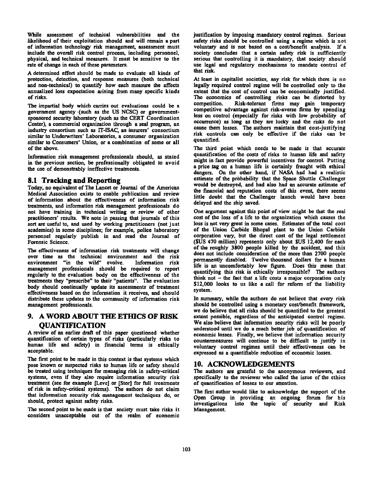While assessment of technical vulnerabilities and the likelihood of their exploitation should and will remain a part of information technology risk management, assessment must include the overall risk control process, including personnel, physical, and technical measures. It must be sensitive to the rate of change in each of these parameters.

A determined effort should be made to evaluate all kinds of protection, detection, and response measures (both technical and non-technical) to quantify how each measure the affects annualized loss expectation arising from many specific kinds of risks.

The impartial body which carries out evaluations could be a government agency. (such as the US NCSC) or governmentsponsored security laboratory (such as the CERT Coordination Center), a commercial organization through a seal program, an industry consortium such as IT-ISAC, an insurers' consortium similar to Underwriters' Laboratories, a consumer organization similar to Consumers' Union, or a combination of some or all of the above.

Information risk management professionals should, as stated in the previous section, be professionally obligated to avoid the use of demonstrably ineffective treatments.

#### 8.1 Tracking and Reporting

Today, no equivalent of The Lancet or Journal of the American Medical Association exists to enable publication and review of information about the effectiveness of information risk treatments, and information risk management professionals do not have training in technical writing or review of other practitioners' results. We note in passing that journals of this sort are useful to, and used by working practitioners (not just academics) in some disciplines; for example, police laboratory personnel regularly publish in and read the Journal of Forensic Science.

The effectiveness of information risk treatments will change over time as the technical environment and the risk environment "in the wild" evolve. Information risk management professionals should be required to report regularly to the evaluation body on the effectiveness of the treatments they "prescribe" to their "patients". The evaluation body should continually update its *assessments* of treatment effectiveness based on the information it receives, and should distribute these updates to the community of information risk management professionals.

# **9. A WORD ABOUT THE ETHICS OF RISK** QUANTIFICATION

A review of an earlier draft of this paper questioned whether quantification of certain types of risks (particularly risks to human life and safety) in financial terms is ethically acceptable.

The first point to be made in this context is that systems which pose known or suspected risks to human life or safety should be treated using techniques for managing risk in safety-critical systems, even if they also require information security risk treatment (see for example [Leve] or [Stor] for full treatments of risk in safety-critical systems). The authors do not claim that information security risk management techniques do, or should, protect against safety risks.

The second point to be made is that society must take risks it considers unacceptable out of the realm of economic

justification by imposing mandatory control regimes. Serious safety risks should be controlled using a regime which is not voluntary and is not based on a cost/benefit analysis. If a society concludes that a certain safety risk is sufficiently serious that controlling it is mandatory, that society should use legal and regulatory mechanisms to mandate control of that risk.

At least in capitalist societies, any risk for which there is no legally required control regime will be controlled only to the extent that the cost of control can be economically justified. The economics of controlling risks can be distorted by competition. Risk-tolerant firms may gain temporary Risk-tolerant firms may gain temporary competitive advantage against risk-averse firms by spending less on control (especially for risks with low probability of occurrence) as long as they are lucky and the risks do not cause them losses. The authors maintain that cost-justifying risk controls can only be effective if the risks can be quantified.

The third point which needs to be made is that accurate quantification of the costs of risks to human life and safety might in fact provide powerful incentives for control. Putting a price tag on a human life is certainly fraught with ethical dangers. On the other hand, if NASA had had a realistic estimate of the probability that the Space Shuttle Challenger would be destroyed, and had also had an accurate estimate of the financial and reputation costs of this event, there seems little doubt that the Challenger launch would have been delayed and the ship saved.

One argument against this point of view might be that the real cost of the loss of a life to the organization which causes the loss is not very great in some cases. Estimates of the total cost of the Union Carbide Bhopal plant to the Union Carbide corporation vary, but the direct cost of the legal settlement (\$US 470 million) represents only about SUS 12,400 for each of the roughly 3800 people killed by the accident, and this does not include consideration of the more than 2700 people permanently disabled. Twelve thousand dollars for a human life is an uncomfortably low figure. Does this mean that quantifying this risk is ethically irresponsible? The authors think not  $-$  the fact that a life costs a major corporation only \$12,000 looks to us like a call for reform of the liability system.

In summary, while the authors do not believe that every risk should be controlled using a monetary cost/benefit framework, we do believe that all risks should be quantified to the greatest extent possible, regardless of the anticipated control regime. We also believe that information security risks will be poorly understood until we do a much better job of quantification of economic losses. Finally, we believe that information security countermeasures will continue to be difficult to justify in voluntary control regimes until their effectiveness can be expressed as a quantifiable reduction of economic losses.

## **10. ACKNOWLEDGEMENTS**

The authors are grateful to the anonymous reviewers, and specifically to the reviewer who called the issue of the ethics of quantification of losses to our attention.

The first author would like to acknowledge the support of the Open Group in providing an ongoing forum for his investigations into the topic of security and Risk Management.